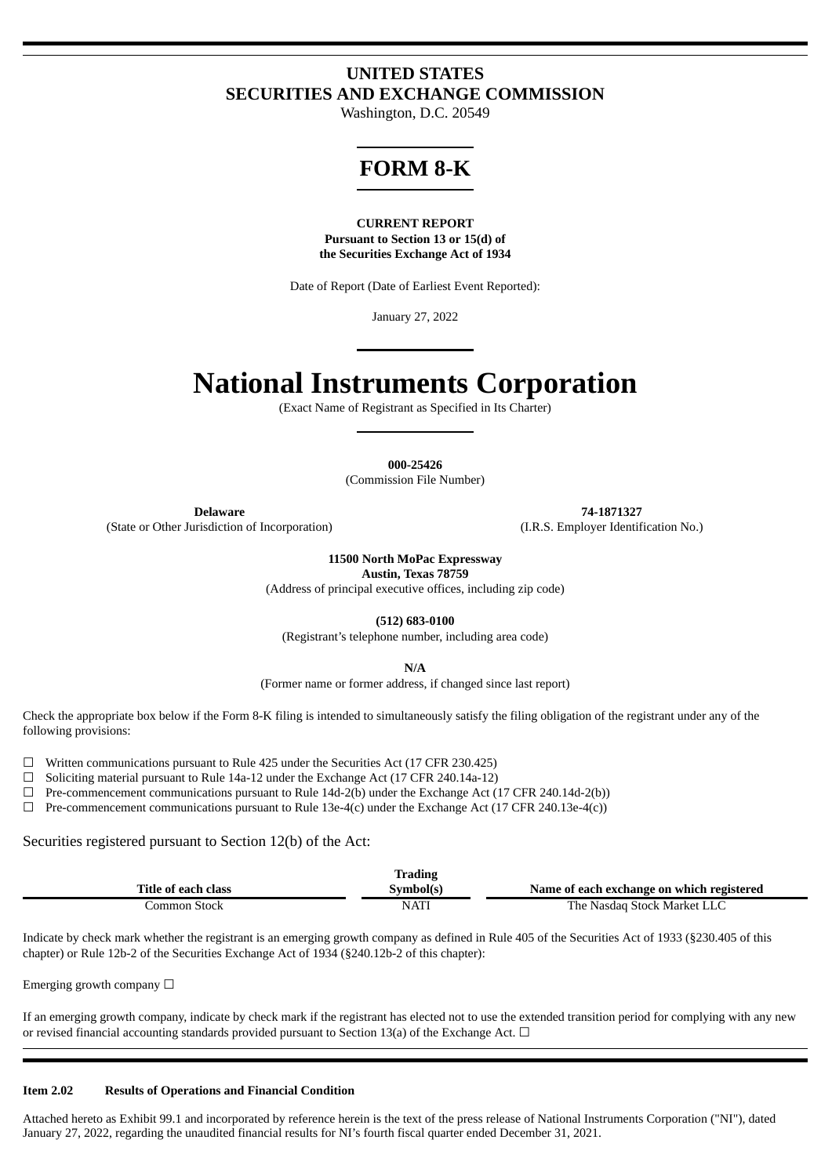## **UNITED STATES SECURITIES AND EXCHANGE COMMISSION**

Washington, D.C. 20549

# **FORM 8-K**

#### **CURRENT REPORT Pursuant to Section 13 or 15(d) of the Securities Exchange Act of 1934**

Date of Report (Date of Earliest Event Reported):

January 27, 2022

# **National Instruments Corporation**

(Exact Name of Registrant as Specified in Its Charter)

**000-25426**

(Commission File Number)

(State or Other Jurisdiction of Incorporation)

**Delaware 74-1871327**<br> **1.R.S. Employer Identification No.** (I.R.S. Employer Identification No.)

**11500 North MoPac Expressway**

**Austin, Texas 78759**

(Address of principal executive offices, including zip code)

**(512) 683-0100**

(Registrant's telephone number, including area code)

**N/A**

(Former name or former address, if changed since last report)

Check the appropriate box below if the Form 8-K filing is intended to simultaneously satisfy the filing obligation of the registrant under any of the following provisions:

 $\Box$  Written communications pursuant to Rule 425 under the Securities Act (17 CFR 230.425)

☐ Soliciting material pursuant to Rule 14a-12 under the Exchange Act (17 CFR 240.14a-12)

☐ Pre-commencement communications pursuant to Rule 14d-2(b) under the Exchange Act (17 CFR 240.14d-2(b))

 $\Box$  Pre-commencement communications pursuant to Rule 13e-4(c) under the Exchange Act (17 CFR 240.13e-4(c))

Securities registered pursuant to Section 12(b) of the Act:

|                     | <b>Trading</b> |                                           |
|---------------------|----------------|-------------------------------------------|
| Title of each class | Svmbol(s)      | Name of each exchange on which registered |
| Common Stock        | <b>NATI</b>    | The Nasdag Stock Market LLC               |

Indicate by check mark whether the registrant is an emerging growth company as defined in Rule 405 of the Securities Act of 1933 (§230.405 of this chapter) or Rule 12b-2 of the Securities Exchange Act of 1934 (§240.12b-2 of this chapter):

Emerging growth company  $\Box$ 

If an emerging growth company, indicate by check mark if the registrant has elected not to use the extended transition period for complying with any new or revised financial accounting standards provided pursuant to Section 13(a) of the Exchange Act.  $\Box$ 

#### **Item 2.02 Results of Operations and Financial Condition**

Attached hereto as Exhibit 99.1 and incorporated by reference herein is the text of the press release of National Instruments Corporation ("NI"), dated January 27, 2022, regarding the unaudited financial results for NI's fourth fiscal quarter ended December 31, 2021.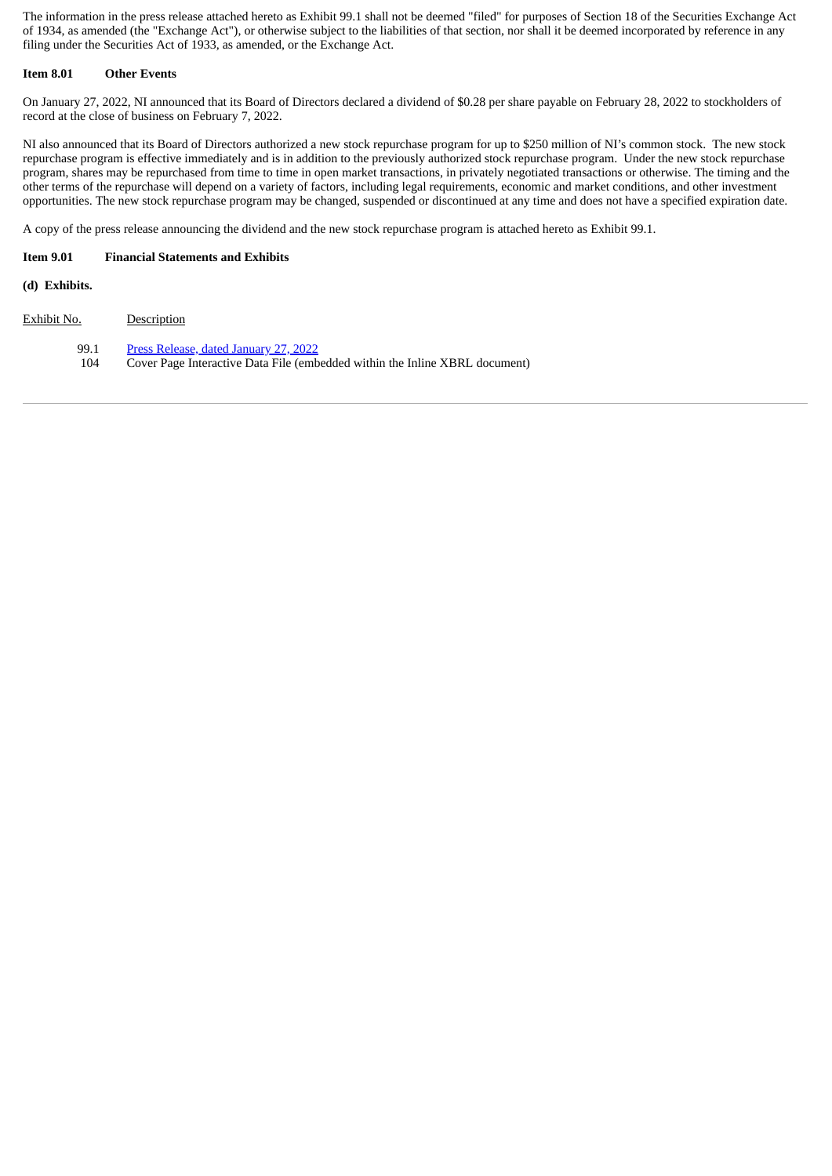The information in the press release attached hereto as Exhibit 99.1 shall not be deemed "filed" for purposes of Section 18 of the Securities Exchange Act of 1934, as amended (the "Exchange Act"), or otherwise subject to the liabilities of that section, nor shall it be deemed incorporated by reference in any filing under the Securities Act of 1933, as amended, or the Exchange Act.

#### **Item 8.01 Other Events**

On January 27, 2022, NI announced that its Board of Directors declared a dividend of \$0.28 per share payable on February 28, 2022 to stockholders of record at the close of business on February 7, 2022.

NI also announced that its Board of Directors authorized a new stock repurchase program for up to \$250 million of NI's common stock. The new stock repurchase program is effective immediately and is in addition to the previously authorized stock repurchase program. Under the new stock repurchase program, shares may be repurchased from time to time in open market transactions, in privately negotiated transactions or otherwise. The timing and the other terms of the repurchase will depend on a variety of factors, including legal requirements, economic and market conditions, and other investment opportunities. The new stock repurchase program may be changed, suspended or discontinued at any time and does not have a specified expiration date.

A copy of the press release announcing the dividend and the new stock repurchase program is attached hereto as Exhibit 99.1.

#### **Item 9.01 Financial Statements and Exhibits**

**(d) Exhibits.**

Exhibit No. Description 99.1 Press [Release,](#page-3-0) dated January 27, 2022 104 Cover Page Interactive Data File (embedded within the Inline XBRL document)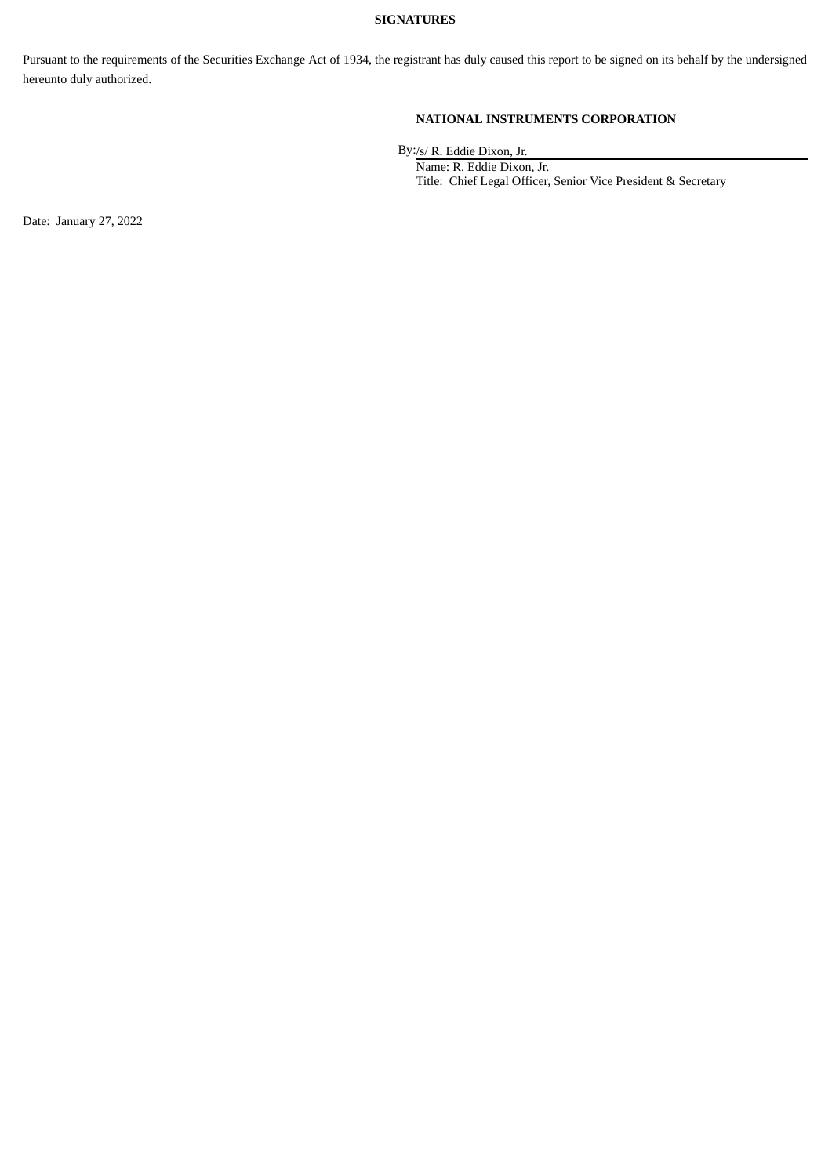#### **SIGNATURES**

Pursuant to the requirements of the Securities Exchange Act of 1934, the registrant has duly caused this report to be signed on its behalf by the undersigned hereunto duly authorized.

### **NATIONAL INSTRUMENTS CORPORATION**

By:/s/ R. Eddie Dixon, Jr.

Name: R. Eddie Dixon, Jr. Title: Chief Legal Officer, Senior Vice President & Secretary

Date: January 27, 2022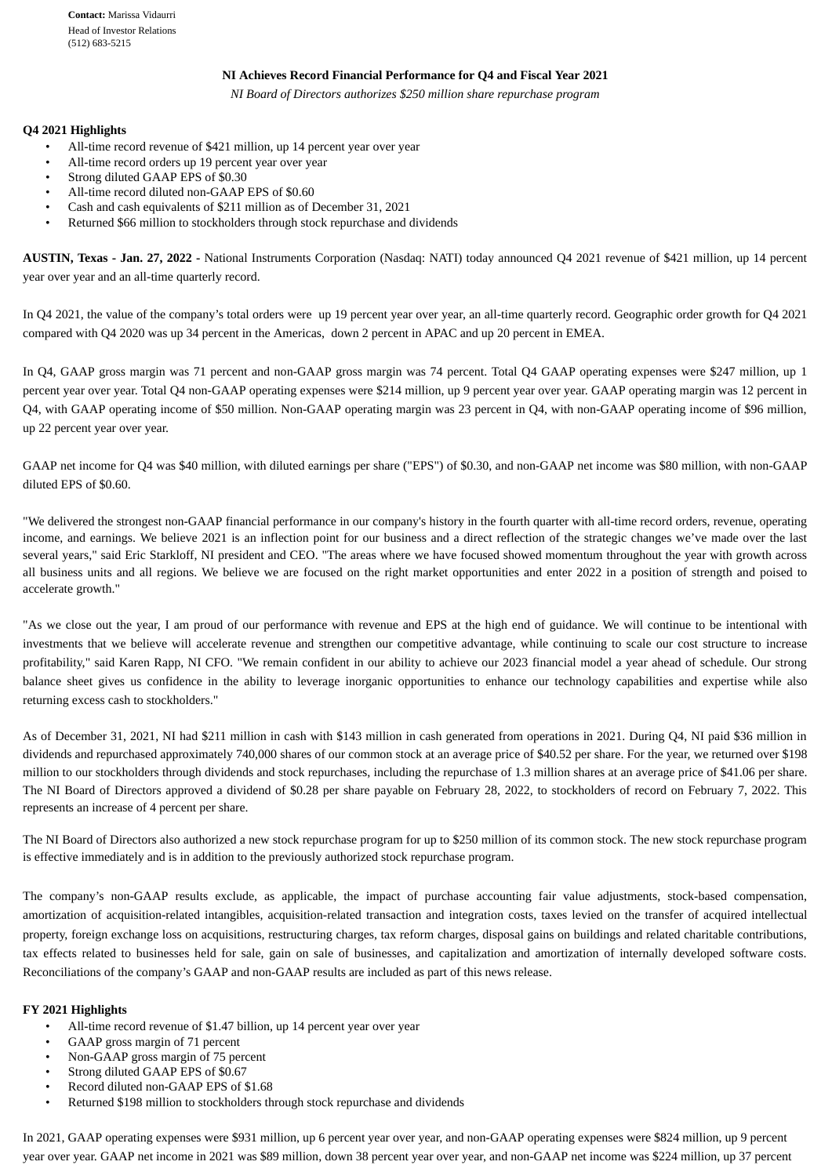#### **NI Achieves Record Financial Performance for Q4 and Fiscal Year 2021**

*NI Board of Directors authorizes \$250 million share repurchase program*

#### <span id="page-3-0"></span>**Q4 2021 Highlights**

- All-time record revenue of \$421 million, up 14 percent year over year
- All-time record orders up 19 percent year over year
- Strong diluted GAAP EPS of \$0.30
- All-time record diluted non-GAAP EPS of \$0.60
- Cash and cash equivalents of \$211 million as of December 31, 2021
- Returned \$66 million to stockholders through stock repurchase and dividends

**AUSTIN, Texas - Jan. 27, 2022 -** National Instruments Corporation (Nasdaq: NATI) today announced Q4 2021 revenue of \$421 million, up 14 percent year over year and an all-time quarterly record.

In Q4 2021, the value of the company's total orders were up 19 percent year over year, an all-time quarterly record. Geographic order growth for Q4 2021 compared with Q4 2020 was up 34 percent in the Americas, down 2 percent in APAC and up 20 percent in EMEA.

In Q4, GAAP gross margin was 71 percent and non-GAAP gross margin was 74 percent. Total Q4 GAAP operating expenses were \$247 million, up 1 percent year over year. Total Q4 non-GAAP operating expenses were \$214 million, up 9 percent year over year. GAAP operating margin was 12 percent in Q4, with GAAP operating income of \$50 million. Non-GAAP operating margin was 23 percent in Q4, with non-GAAP operating income of \$96 million, up 22 percent year over year.

GAAP net income for Q4 was \$40 million, with diluted earnings per share ("EPS") of \$0.30, and non-GAAP net income was \$80 million, with non-GAAP diluted EPS of \$0.60.

"We delivered the strongest non-GAAP financial performance in our company's history in the fourth quarter with all-time record orders, revenue, operating income, and earnings. We believe 2021 is an inflection point for our business and a direct reflection of the strategic changes we've made over the last several years," said Eric Starkloff, NI president and CEO. "The areas where we have focused showed momentum throughout the year with growth across all business units and all regions. We believe we are focused on the right market opportunities and enter 2022 in a position of strength and poised to accelerate growth."

"As we close out the year, I am proud of our performance with revenue and EPS at the high end of guidance. We will continue to be intentional with investments that we believe will accelerate revenue and strengthen our competitive advantage, while continuing to scale our cost structure to increase profitability," said Karen Rapp, NI CFO. "We remain confident in our ability to achieve our 2023 financial model a year ahead of schedule. Our strong balance sheet gives us confidence in the ability to leverage inorganic opportunities to enhance our technology capabilities and expertise while also returning excess cash to stockholders."

As of December 31, 2021, NI had \$211 million in cash with \$143 million in cash generated from operations in 2021. During Q4, NI paid \$36 million in dividends and repurchased approximately 740,000 shares of our common stock at an average price of \$40.52 per share. For the year, we returned over \$198 million to our stockholders through dividends and stock repurchases, including the repurchase of 1.3 million shares at an average price of \$41.06 per share. The NI Board of Directors approved a dividend of \$0.28 per share payable on February 28, 2022, to stockholders of record on February 7, 2022. This represents an increase of 4 percent per share.

The NI Board of Directors also authorized a new stock repurchase program for up to \$250 million of its common stock. The new stock repurchase program is effective immediately and is in addition to the previously authorized stock repurchase program.

The company's non-GAAP results exclude, as applicable, the impact of purchase accounting fair value adjustments, stock-based compensation, amortization of acquisition-related intangibles, acquisition-related transaction and integration costs, taxes levied on the transfer of acquired intellectual property, foreign exchange loss on acquisitions, restructuring charges, tax reform charges, disposal gains on buildings and related charitable contributions, tax effects related to businesses held for sale, gain on sale of businesses, and capitalization and amortization of internally developed software costs. Reconciliations of the company's GAAP and non-GAAP results are included as part of this news release.

#### **FY 2021 Highlights**

- All-time record revenue of \$1.47 billion, up 14 percent year over year
- GAAP gross margin of 71 percent
- Non-GAAP gross margin of 75 percent
- Strong diluted GAAP EPS of \$0.67
- Record diluted non-GAAP EPS of \$1.68
- Returned \$198 million to stockholders through stock repurchase and dividends

In 2021, GAAP operating expenses were \$931 million, up 6 percent year over year, and non-GAAP operating expenses were \$824 million, up 9 percent year over year. GAAP net income in 2021 was \$89 million, down 38 percent year over year, and non-GAAP net income was \$224 million, up 37 percent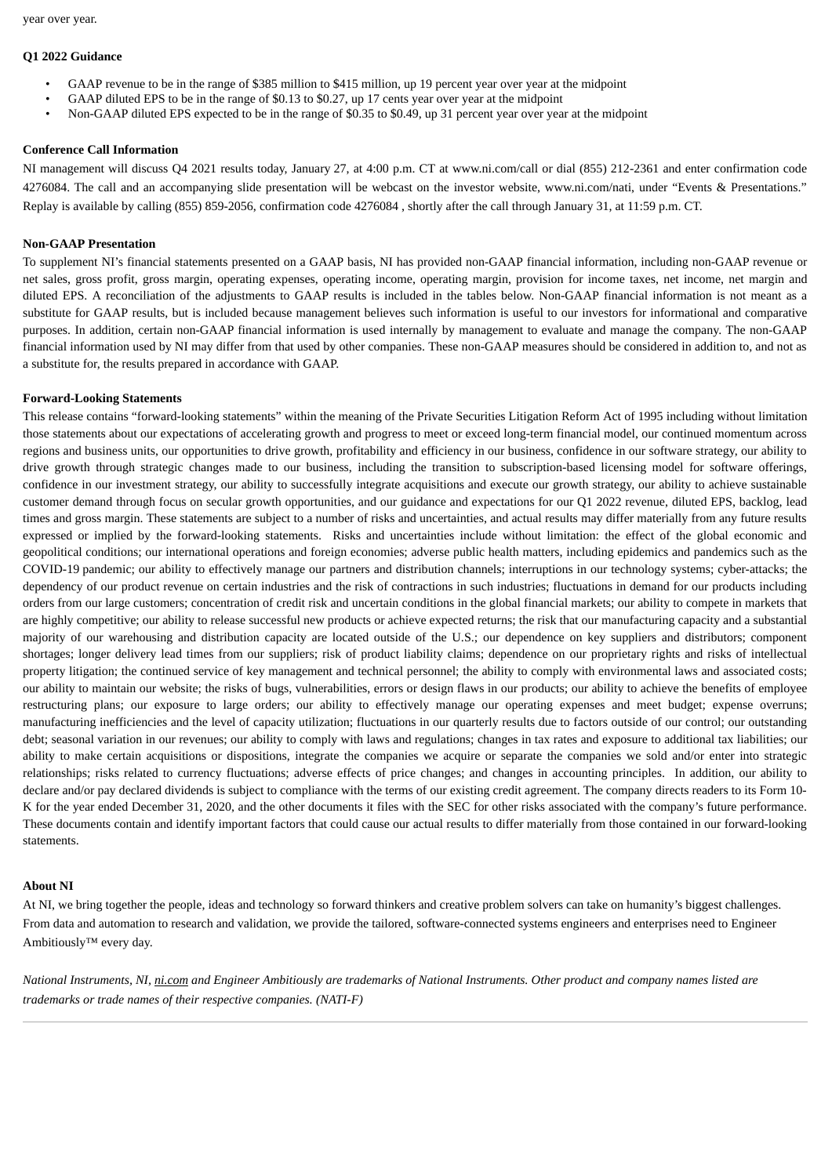#### **Q1 2022 Guidance**

- GAAP revenue to be in the range of \$385 million to \$415 million, up 19 percent year over year at the midpoint
- GAAP diluted EPS to be in the range of \$0.13 to \$0.27, up 17 cents year over year at the midpoint
- Non-GAAP diluted EPS expected to be in the range of \$0.35 to \$0.49, up 31 percent year over year at the midpoint

#### **Conference Call Information**

NI management will discuss Q4 2021 results today, January 27, at 4:00 p.m. CT at www.ni.com/call or dial (855) 212-2361 and enter confirmation code 4276084. The call and an accompanying slide presentation will be webcast on the investor website, www.ni.com/nati, under "Events & Presentations." Replay is available by calling (855) 859-2056, confirmation code 4276084 , shortly after the call through January 31, at 11:59 p.m. CT.

#### **Non-GAAP Presentation**

To supplement NI's financial statements presented on a GAAP basis, NI has provided non-GAAP financial information, including non-GAAP revenue or net sales, gross profit, gross margin, operating expenses, operating income, operating margin, provision for income taxes, net income, net margin and diluted EPS. A reconciliation of the adjustments to GAAP results is included in the tables below. Non-GAAP financial information is not meant as a substitute for GAAP results, but is included because management believes such information is useful to our investors for informational and comparative purposes. In addition, certain non-GAAP financial information is used internally by management to evaluate and manage the company. The non-GAAP financial information used by NI may differ from that used by other companies. These non-GAAP measures should be considered in addition to, and not as a substitute for, the results prepared in accordance with GAAP.

#### **Forward-Looking Statements**

This release contains "forward-looking statements" within the meaning of the Private Securities Litigation Reform Act of 1995 including without limitation those statements about our expectations of accelerating growth and progress to meet or exceed long-term financial model, our continued momentum across regions and business units, our opportunities to drive growth, profitability and efficiency in our business, confidence in our software strategy, our ability to drive growth through strategic changes made to our business, including the transition to subscription-based licensing model for software offerings, confidence in our investment strategy, our ability to successfully integrate acquisitions and execute our growth strategy, our ability to achieve sustainable customer demand through focus on secular growth opportunities, and our guidance and expectations for our Q1 2022 revenue, diluted EPS, backlog, lead times and gross margin. These statements are subject to a number of risks and uncertainties, and actual results may differ materially from any future results expressed or implied by the forward-looking statements. Risks and uncertainties include without limitation: the effect of the global economic and geopolitical conditions; our international operations and foreign economies; adverse public health matters, including epidemics and pandemics such as the COVID-19 pandemic; our ability to effectively manage our partners and distribution channels; interruptions in our technology systems; cyber-attacks; the dependency of our product revenue on certain industries and the risk of contractions in such industries; fluctuations in demand for our products including orders from our large customers; concentration of credit risk and uncertain conditions in the global financial markets; our ability to compete in markets that are highly competitive; our ability to release successful new products or achieve expected returns; the risk that our manufacturing capacity and a substantial majority of our warehousing and distribution capacity are located outside of the U.S.; our dependence on key suppliers and distributors; component shortages; longer delivery lead times from our suppliers; risk of product liability claims; dependence on our proprietary rights and risks of intellectual property litigation; the continued service of key management and technical personnel; the ability to comply with environmental laws and associated costs; our ability to maintain our website; the risks of bugs, vulnerabilities, errors or design flaws in our products; our ability to achieve the benefits of employee restructuring plans; our exposure to large orders; our ability to effectively manage our operating expenses and meet budget; expense overruns; manufacturing inefficiencies and the level of capacity utilization; fluctuations in our quarterly results due to factors outside of our control; our outstanding debt; seasonal variation in our revenues; our ability to comply with laws and regulations; changes in tax rates and exposure to additional tax liabilities; our ability to make certain acquisitions or dispositions, integrate the companies we acquire or separate the companies we sold and/or enter into strategic relationships; risks related to currency fluctuations; adverse effects of price changes; and changes in accounting principles. In addition, our ability to declare and/or pay declared dividends is subject to compliance with the terms of our existing credit agreement. The company directs readers to its Form 10-K for the year ended December 31, 2020, and the other documents it files with the SEC for other risks associated with the company's future performance. These documents contain and identify important factors that could cause our actual results to differ materially from those contained in our forward-looking statements.

#### **About NI**

At NI, we bring together the people, ideas and technology so forward thinkers and creative problem solvers can take on humanity's biggest challenges. From data and automation to research and validation, we provide the tailored, software-connected systems engineers and enterprises need to Engineer Ambitiously™ every day.

National Instruments, NI, ni.com and Engineer Ambitiously are trademarks of National Instruments. Other product and company names listed are *trademarks or trade names of their respective companies. (NATI-F)*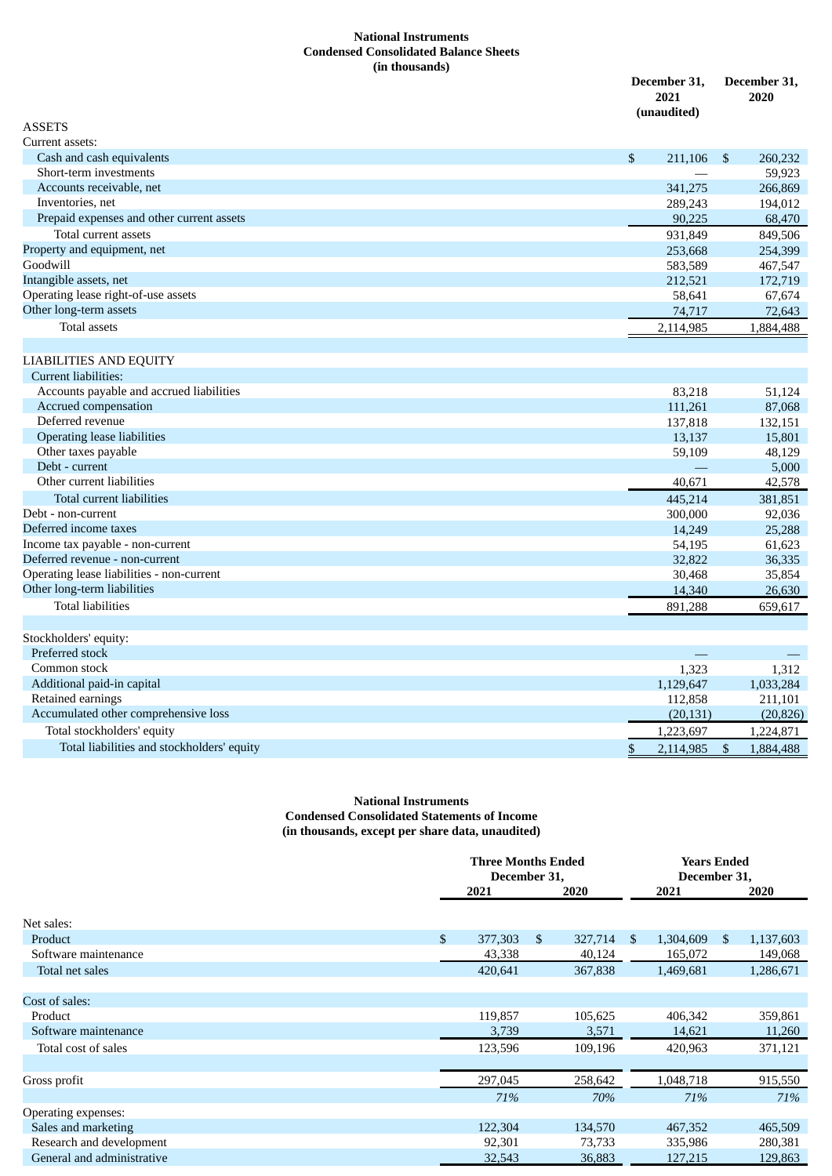#### **National Instruments Condensed Consolidated Balance Sheets (in thousands)**

|                                                       | December 31,<br>2021<br>(unaudited) | December 31,<br>2020 |
|-------------------------------------------------------|-------------------------------------|----------------------|
| <b>ASSETS</b>                                         |                                     |                      |
| Current assets:                                       |                                     |                      |
| Cash and cash equivalents                             | \$<br>211,106                       | \$<br>260,232        |
| Short-term investments                                |                                     | 59,923               |
| Accounts receivable, net                              | 341,275                             | 266,869              |
| Inventories, net                                      | 289,243                             | 194,012              |
| Prepaid expenses and other current assets             | 90,225                              | 68,470               |
| Total current assets                                  | 931,849                             | 849,506              |
| Property and equipment, net                           | 253,668                             | 254,399              |
| Goodwill                                              | 583,589                             | 467,547              |
| Intangible assets, net                                | 212,521                             | 172,719              |
| Operating lease right-of-use assets                   | 58,641                              | 67,674               |
| Other long-term assets                                | 74,717                              | 72,643               |
| <b>Total assets</b>                                   | 2,114,985                           | 1,884,488            |
|                                                       |                                     |                      |
| <b>LIABILITIES AND EQUITY</b><br>Current liabilities: |                                     |                      |
| Accounts payable and accrued liabilities              |                                     |                      |
|                                                       | 83,218                              | 51,124               |
| Accrued compensation<br>Deferred revenue              | 111,261                             | 87,068               |
| <b>Operating lease liabilities</b>                    | 137,818                             | 132,151              |
| Other taxes payable                                   | 13,137                              | 15,801               |
| Debt - current                                        | 59,109                              | 48,129<br>5,000      |
| Other current liabilities                             | 40,671                              |                      |
|                                                       |                                     | 42,578               |
| Total current liabilities<br>Debt - non-current       | 445,214                             | 381,851              |
| Deferred income taxes                                 | 300,000                             | 92,036               |
| Income tax payable - non-current                      | 14,249                              | 25,288               |
| Deferred revenue - non-current                        | 54,195<br>32,822                    | 61,623<br>36,335     |
| Operating lease liabilities - non-current             | 30,468                              | 35,854               |
| Other long-term liabilities                           | 14,340                              | 26,630               |
| <b>Total liabilities</b>                              | 891,288                             | 659,617              |
|                                                       |                                     |                      |
| Stockholders' equity:                                 |                                     |                      |
| Preferred stock                                       |                                     |                      |
| Common stock                                          | 1,323                               | 1,312                |
| Additional paid-in capital                            | 1,129,647                           | 1,033,284            |
| Retained earnings                                     | 112,858                             | 211,101              |
| Accumulated other comprehensive loss                  | (20, 131)                           | (20, 826)            |
| Total stockholders' equity                            | 1,223,697                           | 1,224,871            |
| Total liabilities and stockholders' equity            | \$<br>2,114,985                     | \$<br>1,884,488      |

#### **National Instruments Condensed Consolidated Statements of Income (in thousands, except per share data, unaudited)**

|                            | <b>Three Months Ended</b><br>December 31, |              |         |     | <b>Years Ended</b><br>December 31, |    |           |
|----------------------------|-------------------------------------------|--------------|---------|-----|------------------------------------|----|-----------|
|                            | 2021                                      |              | 2020    |     | 2021                               |    | 2020      |
| Net sales:                 |                                           |              |         |     |                                    |    |           |
| Product                    | \$<br>377,303                             | $\mathbb{S}$ | 327,714 | \$. | 1,304,609                          | S. | 1,137,603 |
| Software maintenance       | 43,338                                    |              | 40,124  |     | 165,072                            |    | 149,068   |
| Total net sales            | 420,641                                   |              | 367,838 |     | 1,469,681                          |    | 1,286,671 |
| Cost of sales:             |                                           |              |         |     |                                    |    |           |
| Product                    | 119,857                                   |              | 105,625 |     | 406,342                            |    | 359,861   |
| Software maintenance       | 3,739                                     |              | 3,571   |     | 14,621                             |    | 11,260    |
| Total cost of sales        | 123,596                                   |              | 109,196 |     | 420,963                            |    | 371,121   |
|                            |                                           |              |         |     |                                    |    |           |
| Gross profit               | 297,045                                   |              | 258,642 |     | 1,048,718                          |    | 915,550   |
|                            | 71%                                       |              | 70%     |     | 71%                                |    | 71%       |
| Operating expenses:        |                                           |              |         |     |                                    |    |           |
| Sales and marketing        | 122,304                                   |              | 134,570 |     | 467,352                            |    | 465,509   |
| Research and development   | 92,301                                    |              | 73,733  |     | 335,986                            |    | 280,381   |
| General and administrative | 32,543                                    |              | 36,883  |     | 127,215                            |    | 129,863   |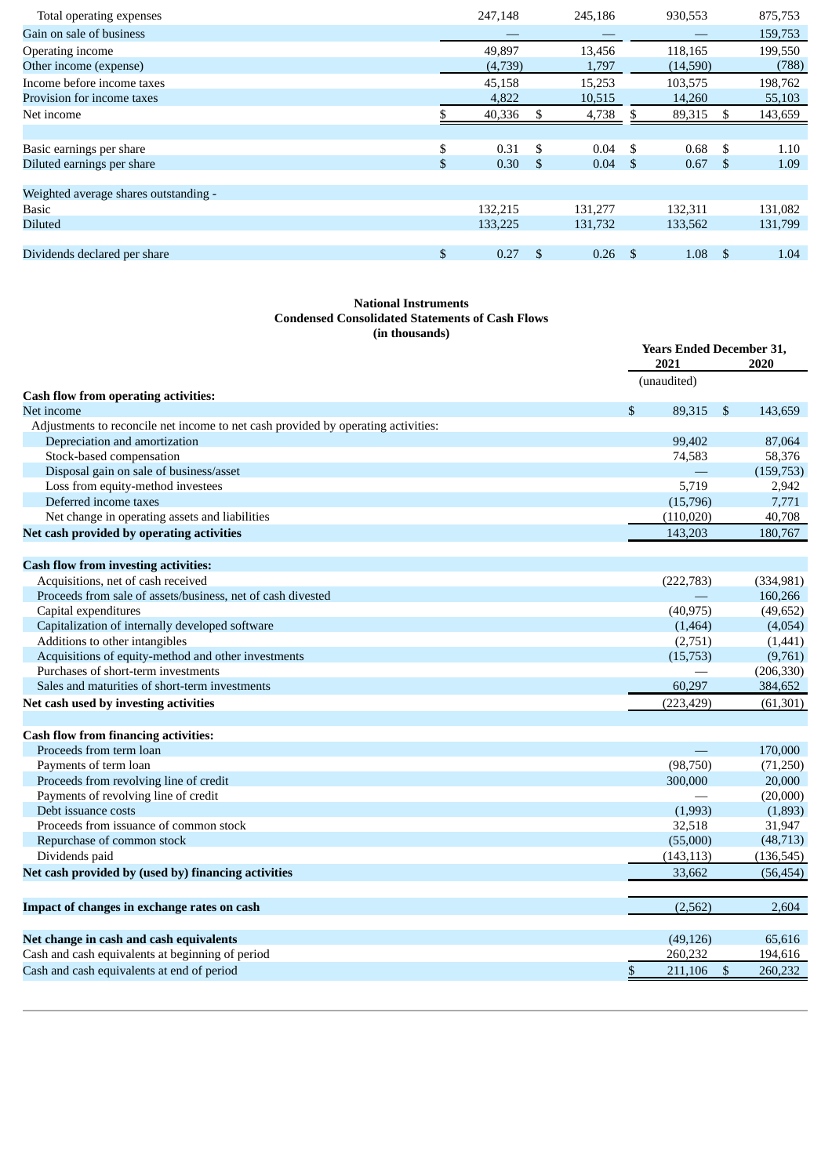| Total operating expenses              |                | 247,148 | 245,186    |      | 930,553  |     | 875,753 |
|---------------------------------------|----------------|---------|------------|------|----------|-----|---------|
| Gain on sale of business              |                |         |            |      |          |     | 159,753 |
| Operating income                      |                | 49,897  | 13,456     |      | 118,165  |     | 199,550 |
| Other income (expense)                |                | (4,739) | 1,797      |      | (14,590) |     | (788)   |
| Income before income taxes            |                | 45,158  | 15,253     |      | 103,575  |     | 198,762 |
| Provision for income taxes            |                | 4,822   | 10,515     |      | 14,260   |     | 55,103  |
| Net income                            |                | 40,336  | 4,738      |      | 89,315   | S.  | 143,659 |
|                                       |                |         |            |      |          |     |         |
| Basic earnings per share              | \$             | 0.31    | \$<br>0.04 | - \$ | 0.68     | \$. | 1.10    |
| Diluted earnings per share            | $\mathfrak{L}$ | 0.30    | \$<br>0.04 | -\$  | 0.67     | -S  | 1.09    |
| Weighted average shares outstanding - |                |         |            |      |          |     |         |
| <b>Basic</b>                          |                | 132,215 | 131.277    |      | 132,311  |     | 131,082 |
| <b>Diluted</b>                        |                | 133,225 | 131,732    |      | 133,562  |     | 131,799 |
|                                       |                |         |            |      |          |     |         |
| Dividends declared per share          | \$             | 0.27    | \$<br>0.26 | -\$  | 1.08     | -S  | 1.04    |

#### **National Instruments Condensed Consolidated Statements of Cash Flows (in thousands)**

|                                                                                   | 2021                               | <b>Years Ended December 31,</b><br>2020 |  |
|-----------------------------------------------------------------------------------|------------------------------------|-----------------------------------------|--|
|                                                                                   | (unaudited)                        |                                         |  |
| <b>Cash flow from operating activities:</b>                                       |                                    |                                         |  |
| Net income                                                                        | \$<br>89,315                       | \$<br>143,659                           |  |
| Adjustments to reconcile net income to net cash provided by operating activities: |                                    |                                         |  |
| Depreciation and amortization                                                     | 99,402                             | 87,064                                  |  |
| Stock-based compensation                                                          | 74,583                             | 58,376                                  |  |
| Disposal gain on sale of business/asset                                           |                                    | (159, 753)                              |  |
| Loss from equity-method investees                                                 | 5,719                              | 2,942                                   |  |
| Deferred income taxes                                                             | (15,796)                           | 7,771                                   |  |
| Net change in operating assets and liabilities                                    | (110, 020)                         | 40,708                                  |  |
| Net cash provided by operating activities                                         | 143,203                            | 180,767                                 |  |
| <b>Cash flow from investing activities:</b>                                       |                                    |                                         |  |
| Acquisitions, net of cash received                                                | (222, 783)                         | (334, 981)                              |  |
| Proceeds from sale of assets/business, net of cash divested                       |                                    | 160,266                                 |  |
| Capital expenditures                                                              | (40, 975)                          | (49, 652)                               |  |
| Capitalization of internally developed software                                   | (1, 464)                           | (4,054)                                 |  |
| Additions to other intangibles                                                    | (2,751)                            | (1,441)                                 |  |
| Acquisitions of equity-method and other investments                               | (15, 753)                          | (9,761)                                 |  |
| Purchases of short-term investments                                               |                                    | (206, 330)                              |  |
| Sales and maturities of short-term investments                                    | 60,297                             | 384,652                                 |  |
| Net cash used by investing activities                                             | (223, 429)                         | (61, 301)                               |  |
|                                                                                   |                                    |                                         |  |
| <b>Cash flow from financing activities:</b>                                       |                                    |                                         |  |
| Proceeds from term loan                                                           |                                    | 170,000                                 |  |
| Payments of term loan                                                             | (98,750)                           | (71,250)                                |  |
| Proceeds from revolving line of credit                                            | 300,000                            | 20,000                                  |  |
| Payments of revolving line of credit                                              |                                    | (20,000)                                |  |
| Debt issuance costs                                                               | (1,993)                            | (1,893)                                 |  |
| Proceeds from issuance of common stock                                            | 32,518                             | 31,947                                  |  |
| Repurchase of common stock                                                        | (55,000)                           | (48, 713)                               |  |
| Dividends paid                                                                    | (143, 113)                         | (136, 545)                              |  |
| Net cash provided by (used by) financing activities                               | 33,662                             | (56, 454)                               |  |
|                                                                                   |                                    |                                         |  |
| Impact of changes in exchange rates on cash                                       | (2, 562)                           | 2,604                                   |  |
| Net change in cash and cash equivalents                                           | (49, 126)                          | 65,616                                  |  |
| Cash and cash equivalents at beginning of period                                  | 260,232                            | 194,616                                 |  |
| Cash and cash equivalents at end of period                                        | $\overline{\mathbb{S}}$<br>211,106 | $\mathfrak{S}$<br>260,232               |  |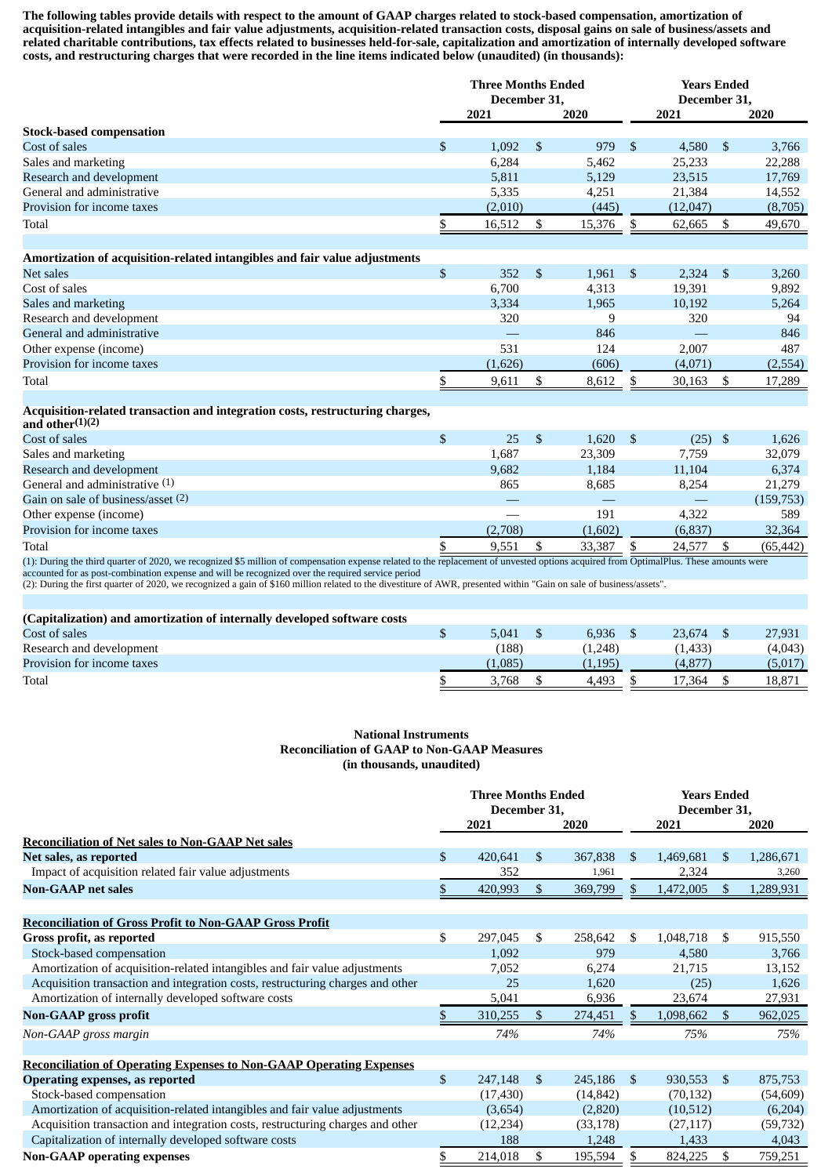The following tables provide details with respect to the amount of GAAP charges related to stock-based compensation, amortization of acquisition-related intangibles and fair value adjustments, acquisition-related transaction costs, disposal gains on sale of business/assets and related charitable contributions, tax effects related to businesses held-for-sale, capitalization and amortization of internally developed software costs, and restructuring charges that were recorded in the line items indicated below (unaudited) (in thousands):

|                                                                            | <b>Three Months Ended</b> |              |      |            | <b>Years Ended</b> |              |      |         |  |
|----------------------------------------------------------------------------|---------------------------|--------------|------|------------|--------------------|--------------|------|---------|--|
|                                                                            |                           | December 31, |      |            |                    | December 31. |      |         |  |
|                                                                            |                           | 2021         |      | 2020       |                    | 2021         |      | 2020    |  |
| <b>Stock-based compensation</b>                                            |                           |              |      |            |                    |              |      |         |  |
| Cost of sales                                                              | \$                        | 1.092        | -S   | 979        | -S                 | 4.580        | - \$ | 3,766   |  |
| Sales and marketing                                                        |                           | 6,284        |      | 5,462      |                    | 25,233       |      | 22,288  |  |
| Research and development                                                   |                           | 5,811        |      | 5,129      |                    | 23,515       |      | 17,769  |  |
| General and administrative                                                 |                           | 5,335        |      | 4,251      |                    | 21,384       |      | 14,552  |  |
| Provision for income taxes                                                 |                           | (2,010)      |      | (445)      |                    | (12,047)     |      | (8,705) |  |
| Total                                                                      |                           | 16,512       |      | 15,376     |                    | 62,665       |      | 49,670  |  |
|                                                                            |                           |              |      |            |                    |              |      |         |  |
| Amortization of acquisition-related intangibles and fair value adjustments |                           |              |      |            |                    |              |      |         |  |
| Net sales                                                                  | \$                        | 352          | - \$ | $1,961$ \$ |                    | $2,324$ \$   |      | 3,260   |  |
| Cost of sales                                                              |                           | 6,700        |      | 4,313      |                    | 19,391       |      | 9,892   |  |
| Sales and marketing                                                        |                           | 3.334        |      | 1,965      |                    | 10.192       |      | 5,264   |  |
| Research and development                                                   |                           | 320          |      | 9          |                    | 320          |      | 94      |  |
| General and administrative                                                 |                           |              |      | 846        |                    |              |      | 846     |  |

#### **Acquisition-related transaction and integration costs, restructuring charges,**

| and other $(1)(2)$                 |                                                                    |  |         |                         |               |                             |            |
|------------------------------------|--------------------------------------------------------------------|--|---------|-------------------------|---------------|-----------------------------|------------|
| Cost of sales                      |                                                                    |  | 25      | 1,620                   |               | (25)                        | 1,626      |
| Sales and marketing                |                                                                    |  | 1,687   | 23,309                  |               | 7,759                       | 32,079     |
| Research and development           |                                                                    |  | 9.682   | 1,184                   |               | 11.104                      | 6,374      |
| General and administrative $(1)$   |                                                                    |  | 865     | 8.685                   |               | 8.254                       | 21,279     |
| Gain on sale of business/asset (2) |                                                                    |  |         |                         |               |                             | (159, 753) |
| Other expense (income)             |                                                                    |  |         | 191                     |               | 4.322                       | 589        |
| Provision for income taxes         |                                                                    |  | (2,708) | (1,602)                 |               | (6,837)                     | 32,364     |
| Total                              |                                                                    |  | 9,551   | 33,387                  |               | 24,577                      | (65, 442)  |
| 0.0000                             | $\mathbf{r} = \mathbf{r}$ , $\mathbf{r} = \mathbf{r} = \mathbf{r}$ |  |         | $\cdot$ $\cdot$ $\cdot$ | $\sim$ $\sim$ | <b><i><u>A WA W</u></i></b> |            |

Other expense (income) 531 124 2,007 487<br>Provision for income taxes (1,626) 606) 606) (4,071 (2,554)

Total 5 9,611 \$ 8,612 \$ 30,163 \$ 17,289

Provision for income taxes (1,626) (606) (4,071)

(1): During the third quarter of 2020, we recognized \$5 million of compensation expense related to the replacement of unvested options acquired from OptimalPlus. These amounts were accounted for as post-combination expense and will be recognized over the required service period

(2): During the first quarter of 2020, we recognized a gain of \$160 million related to the divestiture of AWR, presented within "Gain on sale of business/assets".

| (Capitalization) and amortization of internally developed software costs |         |          |         |         |
|--------------------------------------------------------------------------|---------|----------|---------|---------|
| Cost of sales                                                            | 5.041   | 6.936    | 23.674  | 27,931  |
| Research and development                                                 | (188)   | (1,248)  | (1,433) | (4,043) |
| Provision for income taxes                                               | (1,085) | (1, 195) | (4.877) | (5,017) |
| Total                                                                    | 3.768   | 4.493    | 17.364  | 18,871  |

#### **National Instruments Reconciliation of GAAP to Non-GAAP Measures (in thousands, unaudited)**

|                                                                                |              | <b>Three Months Ended</b><br>December 31, |     |           | <b>Years Ended</b><br>December 31, |           |                |           |  |
|--------------------------------------------------------------------------------|--------------|-------------------------------------------|-----|-----------|------------------------------------|-----------|----------------|-----------|--|
|                                                                                |              | 2021                                      |     | 2020      |                                    | 2021      |                | 2020      |  |
| <b>Reconciliation of Net sales to Non-GAAP Net sales</b>                       |              |                                           |     |           |                                    |           |                |           |  |
| Net sales, as reported                                                         | $\mathbb{S}$ | 420,641                                   | \$  | 367,838   | \$.                                | 1,469,681 | \$             | 1,286,671 |  |
| Impact of acquisition related fair value adjustments                           |              | 352                                       |     | 1,961     |                                    | 2,324     |                | 3,260     |  |
| <b>Non-GAAP</b> net sales                                                      | S.           | 420,993                                   | \$. | 369,799   |                                    | 1,472,005 |                | 1,289,931 |  |
|                                                                                |              |                                           |     |           |                                    |           |                |           |  |
| <b>Reconciliation of Gross Profit to Non-GAAP Gross Profit</b>                 |              |                                           |     |           |                                    |           |                |           |  |
| Gross profit, as reported                                                      | \$           | 297,045                                   | \$  | 258,642   | \$                                 | 1,048,718 | \$             | 915,550   |  |
| Stock-based compensation                                                       |              | 1,092                                     |     | 979       |                                    | 4,580     |                | 3,766     |  |
| Amortization of acquisition-related intangibles and fair value adjustments     |              | 7,052                                     |     | 6,274     |                                    | 21,715    |                | 13,152    |  |
| Acquisition transaction and integration costs, restructuring charges and other |              | 25                                        |     | 1,620     |                                    | (25)      |                | 1,626     |  |
| Amortization of internally developed software costs                            |              | 5,041                                     |     | 6,936     |                                    | 23,674    |                | 27,931    |  |
| <b>Non-GAAP gross profit</b>                                                   |              | 310,255                                   | \$  | 274,451   |                                    | 1,098,662 | \$.            | 962,025   |  |
| Non-GAAP gross margin                                                          |              | 74%                                       |     | 74%       |                                    | 75%       |                | 75%       |  |
|                                                                                |              |                                           |     |           |                                    |           |                |           |  |
| <b>Reconciliation of Operating Expenses to Non-GAAP Operating Expenses</b>     |              |                                           |     |           |                                    |           |                |           |  |
| <b>Operating expenses, as reported</b>                                         | $\mathbb{S}$ | 247,148                                   | \$. | 245,186   | \$.                                | 930,553   | $\mathfrak{S}$ | 875,753   |  |
| Stock-based compensation                                                       |              | (17, 430)                                 |     | (14, 842) |                                    | (70, 132) |                | (54, 609) |  |
| Amortization of acquisition-related intangibles and fair value adjustments     |              | (3,654)                                   |     | (2,820)   |                                    | (10,512)  |                | (6,204)   |  |
| Acquisition transaction and integration costs, restructuring charges and other |              | (12, 234)                                 |     | (33, 178) |                                    | (27, 117) |                | (59, 732) |  |
| Capitalization of internally developed software costs                          |              | 188                                       |     | 1,248     |                                    | 1,433     |                | 4,043     |  |
| <b>Non-GAAP operating expenses</b>                                             | \$           | 214,018                                   | \$  | 195,594   | \$.                                | 824,225   | \$             | 759,251   |  |